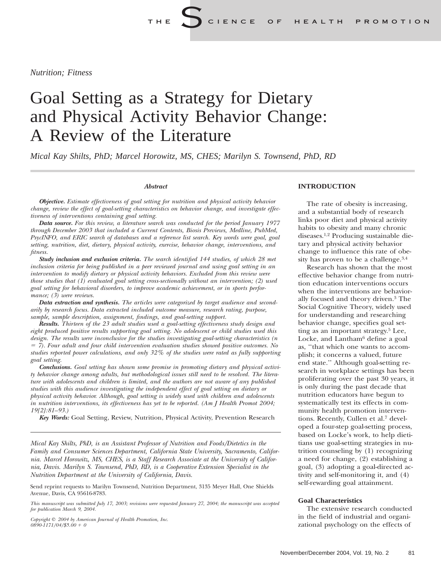*Nutrition; Fitness*

# Goal Setting as a Strategy for Dietary and Physical Activity Behavior Change: A Review of the Literature

*Mical Kay Shilts, PhD; Marcel Horowitz, MS, CHES; Marilyn S. Townsend, PhD, RD*

#### *Abstract*

*Objective. Estimate effectiveness of goal setting for nutrition and physical activity behavior change, review the effect of goal-setting characteristics on behavior change, and investigate effectiveness of interventions containing goal setting.*

*Data source. For this review, a literature search was conducted for the period January 1977 through December 2003 that included a Current Contents, Biosis Previews, Medline, PubMed, PsycINFO, and ERIC search of databases and a reference list search. Key words were goal, goal setting, nutrition, diet, dietary, physical activity, exercise, behavior change, interventions, and fitness.*

*Study inclusion and exclusion criteria. The search identified 144 studies, of which 28 met inclusion criteria for being published in a peer reviewed journal and using goal setting in an intervention to modify dietary or physical activity behaviors. Excluded from this review were those studies that (1) evaluated goal setting cross-sectionally without an intervention; (2) used goal setting for behavioral disorders, to improve academic achievement, or in sports performance; (3) were reviews.*

*Data extraction and synthesis. The articles were categorized by target audience and secondarily by research focus. Data extracted included outcome measure, research rating, purpose, sample, sample description, assignment, findings, and goal-setting support.*

*Results. Thirteen of the 23 adult studies used a goal-setting effectiveness study design and eight produced positive results supporting goal setting. No adolescent or child studies used this design. The results were inconclusive for the studies investigating goal-setting characteristics (n* 5 *7). Four adult and four child intervention evaluation studies showed positive outcomes. No studies reported power calculations, and only 32% of the studies were rated as fully supporting goal setting.*

*Conclusions. Goal setting has shown some promise in promoting dietary and physical activity behavior change among adults, but methodological issues still need to be resolved. The literature with adolescents and children is limited, and the authors are not aware of any published studies with this audience investigating the independent effect of goal setting on dietary or physical activity behavior. Although, goal setting is widely used with children and adolescents in nutrition interventions, its effectiveness has yet to be reported. (Am J Health Promot 2004; 19[2]:81–93.)*

*Key Words:* Goal Setting, Review, Nutrition, Physical Activity, Prevention Research

*Mical Kay Shilts, PhD, is an Assistant Professor of Nutrition and Foods/Dietetics in the Family and Consumer Sciences Department, California State University, Sacramento, California. Marcel Horowitz, MS, CHES, is a Staff Research Associate at the University of California, Davis. Marilyn S. Townsend, PhD, RD, is a Cooperative Extension Specialist in the Nutrition Department at the University of California, Davis.*

Send reprint requests to Marilyn Townsend, Nutrition Department, 3135 Meyer Hall, One Shields Avenue, Davis, CA 95616-8783.

*This manuscript was submitted July 17, 2003; revisions were requested January 27, 2004; the manuscript was accepted for publication March 9, 2004.*

*Copyright* q *2004 by American Journal of Health Promotion, Inc.*  $0890 - 1171/04$ /\$5.00 + 0

#### **INTRODUCTION**

The rate of obesity is increasing, and a substantial body of research links poor diet and physical activity habits to obesity and many chronic diseases.1,2 Producing sustainable dietary and physical activity behavior change to influence this rate of obesity has proven to be a challenge. $3,4$ 

Research has shown that the most effective behavior change from nutrition education interventions occurs when the interventions are behaviorally focused and theory driven.3 The Social Cognitive Theory, widely used for understanding and researching behavior change, specifies goal setting as an important strategy.5 Lee, Locke, and Lantham<sup>6</sup> define a goal as, ''that which one wants to accomplish; it concerns a valued, future end state.'' Although goal-setting research in workplace settings has been proliferating over the past 30 years, it is only during the past decade that nutrition educators have begun to systematically test its effects in community health promotion interventions. Recently, Cullen et al.7 developed a four-step goal-setting process, based on Locke's work, to help dietitians use goal-setting strategies in nutrition counseling by (1) recognizing a need for change, (2) establishing a goal, (3) adopting a goal-directed activity and self-monitoring it, and (4) self-rewarding goal attainment.

#### **Goal Characteristics**

The extensive research conducted in the field of industrial and organizational psychology on the effects of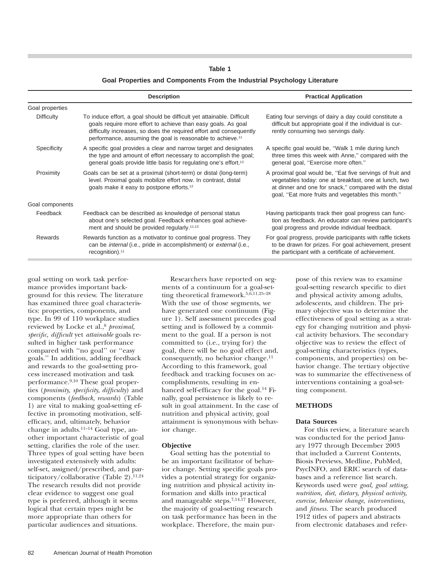## **Goal Properties and Components From the Industrial Psychology Literature**

|                 | <b>Description</b>                                                                                                                                                                                                                                                                      | <b>Practical Application</b>                                                                                                                                                                                                       |
|-----------------|-----------------------------------------------------------------------------------------------------------------------------------------------------------------------------------------------------------------------------------------------------------------------------------------|------------------------------------------------------------------------------------------------------------------------------------------------------------------------------------------------------------------------------------|
| Goal properties |                                                                                                                                                                                                                                                                                         |                                                                                                                                                                                                                                    |
| Difficulty      | To induce effort, a goal should be difficult yet attainable. Difficult<br>goals require more effort to achieve than easy goals. As goal<br>difficulty increases, so does the required effort and consequently<br>performance, assuming the goal is reasonable to achieve. <sup>11</sup> | Eating four servings of dairy a day could constitute a<br>difficult but appropriate goal if the individual is cur-<br>rently consuming two servings daily.                                                                         |
| Specificity     | A specific goal provides a clear and narrow target and designates<br>the type and amount of effort necessary to accomplish the goal;<br>general goals provide little basis for regulating one's effort. <sup>12</sup>                                                                   | A specific goal would be, "Walk 1 mile during lunch"<br>three times this week with Anne," compared with the<br>general goal, "Exercise more often."                                                                                |
| Proximity       | Goals can be set at a proximal (short-term) or distal (long-term)<br>level. Proximal goals mobilize effort now. In contrast, distal<br>goals make it easy to postpone efforts. <sup>12</sup>                                                                                            | A proximal goal would be, "Eat five servings of fruit and<br>vegetables today: one at breakfast, one at lunch, two<br>at dinner and one for snack," compared with the distal<br>goal, "Eat more fruits and vegetables this month." |
| Goal components |                                                                                                                                                                                                                                                                                         |                                                                                                                                                                                                                                    |
| Feedback        | Feedback can be described as knowledge of personal status<br>about one's selected goal. Feedback enhances goal achieve-<br>ment and should be provided regularly. <sup>11,13</sup>                                                                                                      | Having participants track their goal progress can func-<br>tion as feedback. An educator can review participant's<br>goal progress and provide individual feedback.                                                                |
| <b>Rewards</b>  | Rewards function as a motivator to continue goal progress. They<br>can be <i>internal</i> (i.e., pride in accomplishment) or <i>external</i> (i.e.,<br>recognition). <sup>11</sup>                                                                                                      | For goal progress, provide participants with raffle tickets<br>to be drawn for prizes. For goal achievement, present<br>the participant with a certificate of achievement.                                                         |

goal setting on work task performance provides important background for this review. The literature has examined three goal characteristics: properties, components, and type. In 99 of 110 workplace studies reviewed by Locke et al.,<sup>8</sup> *proximal*, *specific, difficult* yet *attainable* goals resulted in higher task performance compared with ''no goal'' or ''easy goals.'' In addition, adding feedback and rewards to the goal-setting process increased motivation and task performance.9,10 These goal properties (*proximity, specificity, difficulty*) and components (*feedback, rewards*) (Table 1) are vital to making goal-setting effective in promoting motivation, selfefficacy, and, ultimately, behavior change in adults.<sup>11–14</sup> Goal type, another important characteristic of goal setting, clarifies the role of the user. Three types of goal setting have been investigated extensively with adults: self-set, assigned/prescribed, and participatory/collaborative (Table 2).<sup>11,24</sup> The research results did not provide clear evidence to suggest one goal type is preferred, although it seems logical that certain types might be more appropriate than others for particular audiences and situations.

Researchers have reported on segments of a continuum for a goal-setting theoretical framework.5,6,11,25–28 With the use of those segments, we have generated one continuum (Figure 1). Self assessment precedes goal setting and is followed by a commitment to the goal. If a person is not committed to (i.e., trying for) the goal, there will be no goal effect and, consequently, no behavior change.<sup>11</sup> According to this framework, goal feedback and tracking focuses on accomplishments, resulting in enhanced self-efficacy for the goal.<sup>14</sup> Finally, goal persistence is likely to result in goal attainment. In the case of nutrition and physical activity, goal attainment is synonymous with behavior change.

## **Objective**

Goal setting has the potential to be an important facilitator of behavior change. Setting specific goals provides a potential strategy for organizing nutrition and physical activity information and skills into practical and manageable steps.7,14,17 However, the majority of goal-setting research on task performance has been in the workplace. Therefore, the main purpose of this review was to examine goal-setting research specific to diet and physical activity among adults, adolescents, and children. The primary objective was to determine the effectiveness of goal setting as a strategy for changing nutrition and physical activity behaviors. The secondary objective was to review the effect of goal-setting characteristics (types, components, and properties) on behavior change. The tertiary objective was to summarize the effectiveness of interventions containing a goal-setting component.

#### **METHODS**

#### **Data Sources**

For this review, a literature search was conducted for the period January 1977 through December 2003 that included a Current Contents, Biosis Previews, Medline, PubMed, PsycINFO, and ERIC search of databases and a reference list search. Keywords used were *goal, goal setting, nutrition, diet, dietary, physical activity, exercise, behavior change, interventions,* and *fitness.* The search produced 1912 titles of papers and abstracts from electronic databases and refer-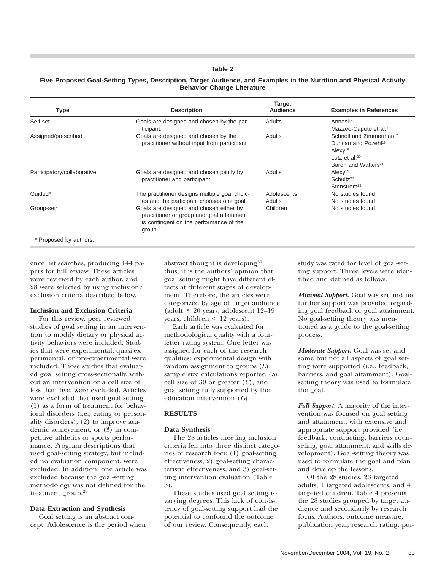## **Five Proposed Goal-Setting Types, Description, Target Audience, and Examples in the Nutrition and Physical Activity Behavior Change Literature**

| <b>Description</b>                                                                                                                        | <b>Target</b><br>Audience | <b>Examples in References</b>                                                                                                                        |
|-------------------------------------------------------------------------------------------------------------------------------------------|---------------------------|------------------------------------------------------------------------------------------------------------------------------------------------------|
| Goals are designed and chosen by the par-<br>ticipant.                                                                                    | Adults                    | Annesi <sup>15</sup><br>Mazzeo-Caputo et al. <sup>16</sup>                                                                                           |
| Goals are designed and chosen by the<br>practitioner without input from participant                                                       | Adults                    | Schnoll and Zimmerman <sup>17</sup><br>Duncan and Pozehl <sup>18</sup><br>AlexV <sup>19</sup><br>Lutz et al. $20$<br>Baron and Watters <sup>21</sup> |
| Goals are designed and chosen jointly by<br>practitioner and participant.                                                                 | Adults                    | AlexV <sup>19</sup><br>Schultz <sup>22</sup><br>Stenstrom <sup>23</sup>                                                                              |
| The practitioner designs multiple goal choic-<br>es and the participant chooses one goal.                                                 | Adolescents<br>Adults     | No studies found<br>No studies found                                                                                                                 |
| Goals are designed and chosen either by<br>practitioner or group and goal attainment<br>is contingent on the performance of the<br>group. | Children                  | No studies found                                                                                                                                     |
|                                                                                                                                           |                           |                                                                                                                                                      |

ence list searches, producing 144 papers for full review. These articles were reviewed by each author, and 28 were selected by using inclusion/ exclusion criteria described below.

#### **Inclusion and Exclusion Criteria**

For this review, peer reviewed studies of goal setting in an intervention to modify dietary or physical activity behaviors were included. Studies that were experimental, quasi-experimental, or pre-experimental were included. Those studies that evaluated goal setting cross-sectionally, without an intervention or a cell size of less than five, were excluded. Articles were excluded that used goal setting (1) as a form of treatment for behavioral disorders (i.e., eating or personality disorders), (2) to improve academic achievement, or (3) in competitive athletics or sports performance. Program descriptions that used goal-setting strategy, but included no evaluation component, were excluded. In addition, one article was excluded because the goal-setting methodology was not defined for the treatment group.<sup>29</sup>

#### **Data Extraction and Synthesis**

Goal setting is an abstract concept. Adolescence is the period when abstract thought is developing<sup>30</sup>; thus, it is the authors' opinion that goal setting might have different effects at different stages of development. Therefore, the articles were categorized by age of target audience (adult  $\geq 20$  years, adolescent 12–19 years, children  $\leq 12$  years).

Each article was evaluated for methodological quality with a fourletter rating system. One letter was assigned for each of the research qualities: experimental design with random assignment to groups (*E*), sample size calculations reported (*S*), cell size of 30 or greater (*C*), and goal setting fully supported by the education intervention (*G*).

#### **RESULTS**

#### **Data Synthesis**

The 28 articles meeting inclusion criteria fell into three distinct categories of research foci: (1) goal-setting effectiveness, 2) goal-setting characteristic effectiveness, and 3) goal-setting intervention evaluation (Table 3).

These studies used goal setting to varying degrees. This lack of consistency of goal-setting support had the potential to confound the outcome of our review. Consequently, each

study was rated for level of goal-setting support. Three levels were identified and defined as follows.

*Minimal Support.* Goal was set and no further support was provided regarding goal feedback or goal attainment. No goal-setting theory was mentioned as a guide to the goal-setting process.

*Moderate Support.* Goal was set and some but not all aspects of goal setting were supported (i.e., feedback, barriers, and goal attainment). Goalsetting theory was used to formulate the goal.

*Full Support.* A majority of the intervention was focused on goal setting and attainment, with extensive and appropriate support provided (i.e., feedback, contracting, barriers counseling, goal attainment, and skills development). Goal-setting theory was used to formulate the goal and plan and develop the lessons.

Of the 28 studies, 23 targeted adults, 1 targeted adolescents, and 4 targeted children. Table 4 presents the 28 studies grouped by target audience and secondarily by research focus. Authors, outcome measure, publication year, research rating, pur-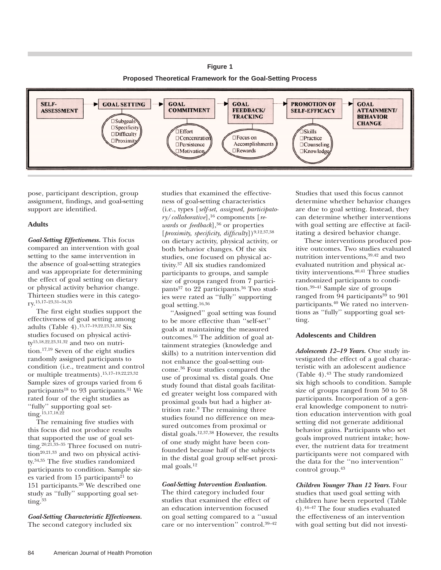## **Figure 1**

**Proposed Theoretical Framework for the Goal-Setting Process**



pose, participant description, group assignment, findings, and goal-setting support are identified.

## **Adults**

*Goal-Setting Effectiveness.* This focus compared an intervention with goal setting to the same intervention in the absence of goal-setting strategies and was appropriate for determining the effect of goal setting on dietary or physical activity behavior change. Thirteen studies were in this category.15,17–23,31–34,35

The first eight studies support the effectiveness of goal setting among adults (Table 4).15,17–19,22,23,31,32 Six studies focused on physical activity15,18,22,23,31,32 and two on nutrition.17,19 Seven of the eight studies randomly assigned participants to condition (i.e., treatment and control or multiple treatments).15,17–19,22,23,32 Sample sizes of groups varied from 6 participants<sup>18</sup> to 93 participants.<sup>31</sup> We rated four of the eight studies as ''fully'' supporting goal setting.<sup>15,17,18,22</sup>

The remaining five studies with this focus did not produce results that supported the use of goal setting.20,21,33–35 Three focused on nutri- $\text{tion}^{20,21,33}$  and two on physical activity.34,35 The five studies randomized participants to condition. Sample sizes varied from  $15$  participants<sup>21</sup> to 151 participants. $20$  We described one study as ''fully'' supporting goal set $t$ ing.<sup>33</sup>

*Goal-Setting Characteristic Effectiveness.* The second category included six

studies that examined the effectiveness of goal-setting characteristics (i.e., types [*self-set, assigned, participatory*/*collaborative*],16 components [*rewards* or *feedback*],<sup>36</sup> or properties [*proximity, specificity, difficulty*])<sup>9,12,37,38</sup> on dietary activity, physical activity, or both behavior changes. Of the six studies, one focused on physical activity.37 All six studies randomized participants to groups, and sample size of groups ranged from 7 participants<sup>37</sup> to 22 participants.<sup>36</sup> Two studies were rated as ''fully'' supporting goal setting.16,36

''Assigned'' goal setting was found to be more effective than ''self-set'' goals at maintaining the measured outcomes.16 The addition of goal attainment strategies (knowledge and skills) to a nutrition intervention did not enhance the goal-setting outcome.36 Four studies compared the use of proximal vs. distal goals. One study found that distal goals facilitated greater weight loss compared with proximal goals but had a higher attrition rate.9 The remaining three studies found no difference on measured outcomes from proximal or distal goals.12,37,38 However, the results of one study might have been confounded because half of the subjects in the distal goal group self-set proximal goals.12

#### *Goal-Setting Intervention Evaluation.*

The third category included four studies that examined the effect of an education intervention focused on goal setting compared to a ''usual care or no intervention'' control.39–42 Studies that used this focus cannot determine whether behavior changes are due to goal setting. Instead, they can determine whether interventions with goal setting are effective at facilitating a desired behavior change.

These interventions produced positive outcomes. Two studies evaluated nutrition interventions,39,42 and two evaluated nutrition and physical activity interventions.40,41 Three studies randomized participants to condition.39–41 Sample size of groups ranged from  $94$  participants<sup>39</sup> to  $901$ participants.40 We rated no interventions as ''fully'' supporting goal setting.

#### **Adolescents and Children**

*Adolescents 12–19 Years.* One study investigated the effect of a goal characteristic with an adolescent audience (Table 4).43 The study randomized six high schools to condition. Sample size of groups ranged from 50 to 58 participants. Incorporation of a general knowledge component to nutrition education intervention with goal setting did not generate additional behavior gains. Participants who set goals improved nutrient intake; however, the nutrient data for treatment participants were not compared with the data for the ''no intervention'' control group.43

*Children Younger Than 12 Years.* Four studies that used goal setting with children have been reported (Table 4).44–47 The four studies evaluated the effectiveness of an intervention with goal setting but did not investi-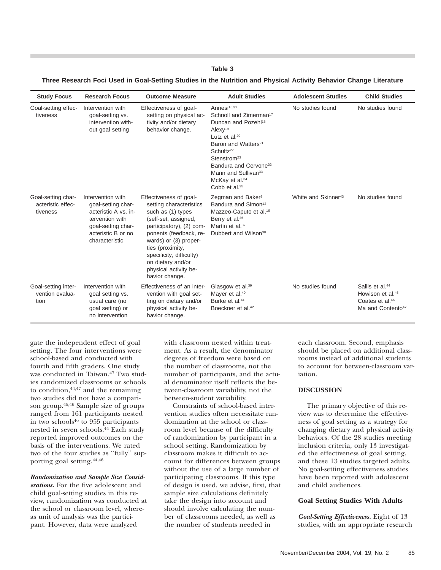#### **Three Research Foci Used in Goal-Setting Studies in the Nutrition and Physical Activity Behavior Change Literature**

| <b>Study Focus</b>                                  | <b>Research Focus</b>                                                                                                                            | <b>Outcome Measure</b>                                                                                                                                                                                                                                                                        | <b>Adult Studies</b>                                                                                                                                                                                                                                                                                                                                                  | <b>Adolescent Studies</b>       | <b>Child Studies</b>                                                                                                        |
|-----------------------------------------------------|--------------------------------------------------------------------------------------------------------------------------------------------------|-----------------------------------------------------------------------------------------------------------------------------------------------------------------------------------------------------------------------------------------------------------------------------------------------|-----------------------------------------------------------------------------------------------------------------------------------------------------------------------------------------------------------------------------------------------------------------------------------------------------------------------------------------------------------------------|---------------------------------|-----------------------------------------------------------------------------------------------------------------------------|
| Goal-setting effec-<br>tiveness                     | Intervention with<br>goal-setting vs.<br>intervention with-<br>out goal setting                                                                  | Effectiveness of goal-<br>setting on physical ac-<br>tivity and/or dietary<br>behavior change.                                                                                                                                                                                                | Annesi <sup>15,31</sup><br>Schnoll and Zimerman <sup>17</sup><br>Duncan and Pozehl <sup>18</sup><br>Alexy <sup>19</sup><br>Lutz et al. $20$<br>Baron and Watters <sup>21</sup><br>Schultz <sup>22</sup><br>Stenstrom <sup>23</sup><br>Bandura and Cervone <sup>32</sup><br>Mann and Sullivan <sup>33</sup><br>McKay et al. <sup>34</sup><br>Cobb et al. <sup>35</sup> | No studies found                | No studies found                                                                                                            |
| Goal-setting char-<br>acteristic effec-<br>tiveness | Intervention with<br>qoal-setting char-<br>acteristic A vs. in-<br>tervention with<br>goal-setting char-<br>acteristic B or no<br>characteristic | Effectiveness of goal-<br>setting characteristics<br>such as (1) types<br>(self-set, assigned,<br>participatory), (2) com-<br>ponents (feedback, re-<br>wards) or (3) proper-<br>ties (proximity,<br>specificity, difficulty)<br>on dietary and/or<br>physical activity be-<br>havior change. | Zegman and Baker <sup>9</sup><br>Bandura and Simon <sup>12</sup><br>Mazzeo-Caputo et al. <sup>16</sup><br>Berry et al. <sup>36</sup><br>Martin et al. <sup>37</sup><br>Dubbert and Wilson <sup>38</sup>                                                                                                                                                               | White and Skinner <sup>43</sup> | No studies found                                                                                                            |
| Goal-setting inter-<br>vention evalua-<br>tion      | Intervention with<br>goal setting vs.<br>usual care (no<br>goal setting) or<br>no intervention                                                   | Effectiveness of an inter-<br>vention with goal set-<br>ting on dietary and/or<br>physical activity be-<br>havior change.                                                                                                                                                                     | Glasgow et al. <sup>39</sup><br>Mayer et al. <sup>40</sup><br>Burke et al. <sup>41</sup><br>Boeckner et al. <sup>42</sup>                                                                                                                                                                                                                                             | No studies found                | Sallis et al. <sup>44</sup><br>Howison et al. <sup>45</sup><br>Coates et al. <sup>46</sup><br>Ma and Contento <sup>47</sup> |

gate the independent effect of goal setting. The four interventions were school-based and conducted with fourth and fifth graders. One study was conducted in Taiwan.<sup>47</sup> Two studies randomized classrooms or schools to condition,  $44,47$  and the remaining two studies did not have a comparison group.45,46 Sample size of groups ranged from 161 participants nested in two schools $46$  to 955 participants nested in seven schools.44 Each study reported improved outcomes on the basis of the interventions. We rated two of the four studies as ''fully'' supporting goal setting.44,46

*Randomization and Sample Size Considerations.* For the five adolescent and child goal-setting studies in this review, randomization was conducted at the school or classroom level, whereas unit of analysis was the participant. However, data were analyzed

with classroom nested within treatment. As a result, the denominator degrees of freedom were based on the number of classrooms, not the number of participants, and the actual denominator itself reflects the between-classroom variability, not the between-student variability.

Constraints of school-based intervention studies often necessitate randomization at the school or classroom level because of the difficulty of randomization by participant in a school setting. Randomization by classroom makes it difficult to account for differences between groups without the use of a large number of participating classrooms. If this type of design is used, we advise, first, that sample size calculations definitely take the design into account and should involve calculating the number of classrooms needed, as well as the number of students needed in

each classroom. Second, emphasis should be placed on additional classrooms instead of additional students to account for between-classroom variation.

## **DISCUSSION**

The primary objective of this review was to determine the effectiveness of goal setting as a strategy for changing dietary and physical activity behaviors. Of the 28 studies meeting inclusion criteria, only 13 investigated the effectiveness of goal setting, and these 13 studies targeted adults. No goal-setting effectiveness studies have been reported with adolescent and child audiences.

#### **Goal Setting Studies With Adults**

*Goal-Setting Effectiveness.* Eight of 13 studies, with an appropriate research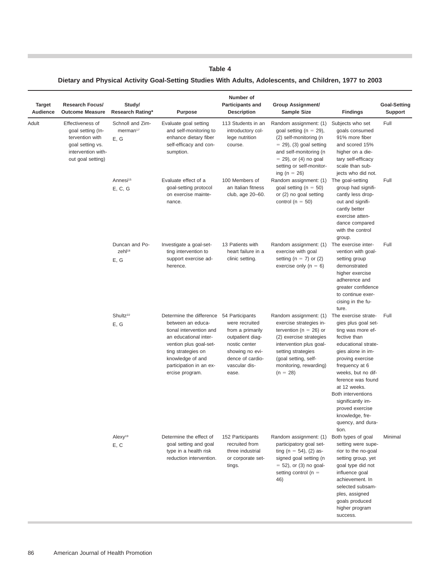# **Dietary and Physical Activity Goal-Setting Studies With Adults, Adolescents, and Children, 1977 to 2003**

| <b>Target</b><br>Audience | <b>Research Focus/</b><br><b>Outcome Measure</b>                                                                        | Study/<br>Research Rating*                       | <b>Purpose</b>                                                                                                                                                                                                                      | Number of<br><b>Participants and</b><br><b>Description</b>                                                                               | <b>Group Assignment/</b><br><b>Sample Size</b>                                                                                                                                                                              | <b>Findings</b>                                                                                                                                                                                                                                                                                                                                     | <b>Goal-Setting</b><br><b>Support</b> |
|---------------------------|-------------------------------------------------------------------------------------------------------------------------|--------------------------------------------------|-------------------------------------------------------------------------------------------------------------------------------------------------------------------------------------------------------------------------------------|------------------------------------------------------------------------------------------------------------------------------------------|-----------------------------------------------------------------------------------------------------------------------------------------------------------------------------------------------------------------------------|-----------------------------------------------------------------------------------------------------------------------------------------------------------------------------------------------------------------------------------------------------------------------------------------------------------------------------------------------------|---------------------------------------|
| Adult                     | Effectiveness of<br>goal setting (In-<br>tervention with<br>goal setting vs.<br>intervention with-<br>out goal setting) | Schnoll and Zim-<br>merman <sup>17</sup><br>E, G | Evaluate goal setting<br>and self-monitoring to<br>enhance dietary fiber<br>self-efficacy and con-<br>sumption.                                                                                                                     | 113 Students in an<br>introductory col-<br>lege nutrition<br>course.                                                                     | Random assignment: (1)<br>goal setting ( $n = 29$ ),<br>(2) self-monitoring (n<br>$=$ 29), (3) goal setting<br>and self-monitoring (n<br>$=$ 29), or (4) no goal<br>setting or self-monitor-<br>ing (n = 26)                | Subjects who set<br>goals consumed<br>91% more fiber<br>and scored 15%<br>higher on a die-<br>tary self-efficacy<br>scale than sub-<br>jects who did not.                                                                                                                                                                                           | Full                                  |
|                           |                                                                                                                         | Annesi <sup>15</sup><br>E, C, G                  | Evaluate effect of a<br>goal-setting protocol<br>on exercise mainte-<br>nance.                                                                                                                                                      | 100 Members of<br>an Italian fitness<br>club, age 20-60.                                                                                 | Random assignment: (1)<br>goal setting ( $n = 50$ )<br>or (2) no goal setting<br>control ( $n = 50$ )                                                                                                                       | The goal-setting<br>group had signifi-<br>cantly less drop-<br>out and signifi-<br>cantly better<br>exercise atten-<br>dance compared<br>with the control<br>group.                                                                                                                                                                                 | Full                                  |
|                           |                                                                                                                         | Duncan and Po-<br>zehl <sup>18</sup><br>E, G     | Investigate a goal-set-<br>ting intervention to<br>support exercise ad-<br>herence.                                                                                                                                                 | 13 Patients with<br>heart failure in a<br>clinic setting.                                                                                | Random assignment: (1)<br>exercise with goal<br>setting (n = 7) or (2)<br>exercise only ( $n = 6$ )                                                                                                                         | The exercise inter-<br>vention with goal-<br>setting group<br>demonstrated<br>higher exercise<br>adherence and<br>greater confidence<br>to continue exer-<br>cising in the fu-<br>ture.                                                                                                                                                             | Full                                  |
|                           |                                                                                                                         | Shultz <sup>22</sup><br>E, G                     | Determine the difference 54 Participants<br>between an educa-<br>tional intervention and<br>an educational inter-<br>vention plus goal-set-<br>ting strategies on<br>knowledge of and<br>participation in an ex-<br>ercise program. | were recruited<br>from a primarily<br>outpatient diag-<br>nostic center<br>showing no evi-<br>dence of cardio-<br>vascular dis-<br>ease. | Random assignment: (1)<br>exercise strategies in-<br>tervention ( $n = 26$ ) or<br>(2) exercise strategies<br>intervention plus goal-<br>setting strategies<br>(goal setting, self-<br>monitoring, rewarding)<br>$(n = 28)$ | The exercise strate-<br>gies plus goal set-<br>ting was more ef-<br>fective than<br>educational strate-<br>gies alone in im-<br>proving exercise<br>frequency at 6<br>weeks, but no dif-<br>ference was found<br>at 12 weeks.<br><b>Both interventions</b><br>significantly im-<br>proved exercise<br>knowledge, fre-<br>quency, and dura-<br>tion. | Full                                  |
|                           |                                                                                                                         | Alexy <sup>19</sup><br>E, C                      | Determine the effect of<br>goal setting and goal<br>type in a health risk<br>reduction intervention.                                                                                                                                | 152 Participants<br>recruited from<br>three industrial<br>or corporate set-<br>tings.                                                    | Random assignment: (1)<br>participatory goal set-<br>ting (n = 54), (2) as-<br>signed goal setting (n<br>$= 52$ ), or (3) no goal-<br>setting control ( $n =$<br>46)                                                        | Both types of goal<br>setting were supe-<br>rior to the no-goal<br>setting group, yet<br>goal type did not<br>influence goal<br>achievement. In<br>selected subsam-<br>ples, assigned<br>goals produced<br>higher program<br>success.                                                                                                               | Minimal                               |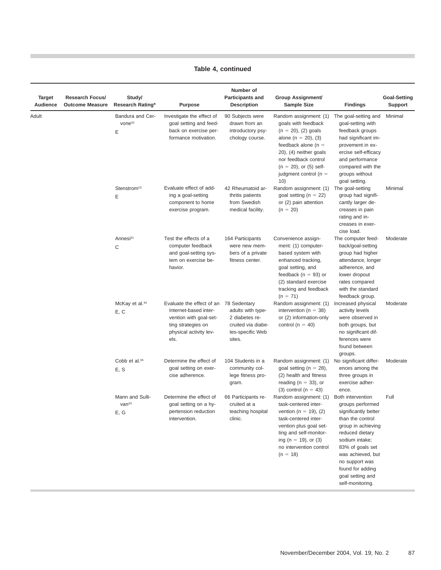T.

| Target<br>Audience | <b>Research Focus/</b><br><b>Outcome Measure</b> | Study/<br>Research Rating*                   | <b>Purpose</b>                                                                                                                       | Number of<br><b>Participants and</b><br><b>Description</b>                                              | <b>Group Assignment/</b><br><b>Sample Size</b>                                                                                                                                                                                             | <b>Findings</b>                                                                                                                                                                                                                                                     | <b>Goal-Setting</b><br><b>Support</b> |
|--------------------|--------------------------------------------------|----------------------------------------------|--------------------------------------------------------------------------------------------------------------------------------------|---------------------------------------------------------------------------------------------------------|--------------------------------------------------------------------------------------------------------------------------------------------------------------------------------------------------------------------------------------------|---------------------------------------------------------------------------------------------------------------------------------------------------------------------------------------------------------------------------------------------------------------------|---------------------------------------|
| Adult              |                                                  | Bandura and Cer-<br>vone <sup>32</sup><br>Ε  | Investigate the effect of<br>goal setting and feed-<br>back on exercise per-<br>formance motivation.                                 | 90 Subjects were<br>drawn from an<br>introductory psy-<br>chology course.                               | Random assignment: (1)<br>goals with feedback<br>$(n = 20)$ , (2) goals<br>alone (n = 20), (3)<br>feedback alone ( $n =$<br>20), (4) neither goals<br>nor feedback control<br>$(n = 20)$ , or (5) self-<br>judgment control ( $n =$<br>10) | The goal-setting and<br>goal-setting with<br>feedback groups<br>had significant im-<br>provement in ex-<br>ercise self-efficacy<br>and performance<br>compared with the<br>groups without<br>goal setting.                                                          | Minimal                               |
|                    |                                                  | Stenstrom <sup>23</sup><br>E                 | Evaluate effect of add-<br>ing a goal-setting<br>component to home<br>exercise program.                                              | 42 Rheumatoid ar-<br>thritis patients<br>from Swedish<br>medical facility.                              | Random assignment: (1)<br>goal setting (n = 22)<br>or (2) pain attention<br>$(n = 20)$                                                                                                                                                     | The goal-setting<br>group had signifi-<br>cantly larger de-<br>creases in pain<br>rating and in-<br>creases in exer-<br>cise load.                                                                                                                                  | Minimal                               |
|                    |                                                  | Annesi <sup>31</sup><br>C                    | Test the effects of a<br>computer feedback<br>and goal-setting sys-<br>tem on exercise be-<br>havior.                                | 164 Participants<br>were new mem-<br>bers of a private<br>fitness center.                               | Convenience assign-<br>ment: (1) computer-<br>based system with<br>enhanced tracking,<br>goal setting, and<br>feedback ( $n = 93$ ) or<br>(2) standard exercise<br>tracking and feedback<br>$(n = 71)$                                     | The computer feed-<br>back/goal-setting<br>group had higher<br>attendance, longer<br>adherence, and<br>lower dropout<br>rates compared<br>with the standard<br>feedback group.                                                                                      | Moderate                              |
|                    |                                                  | McKay et al. <sup>34</sup><br>E, C           | Evaluate the effect of an<br>Internet-based inter-<br>vention with goal-set-<br>ting strategies on<br>physical activity lev-<br>els. | 78 Sedentary<br>adults with type-<br>2 diabetes re-<br>cruited via diabe-<br>tes-specific Web<br>sites. | Random assignment: (1)<br>intervention ( $n = 38$ )<br>or (2) information-only<br>control ( $n = 40$ )                                                                                                                                     | Increased physical<br>activity levels<br>were observed in<br>both groups, but<br>no significant dif-<br>ferences were<br>found between<br>groups.                                                                                                                   | Moderate                              |
|                    |                                                  | Cobb et al. <sup>35</sup><br>E, S            | Determine the effect of<br>goal setting on exer-<br>cise adherence.                                                                  | 104 Students in a<br>community col-<br>lege fitness pro-<br>gram.                                       | Random assignment: (1)<br>goal setting (n = 28),<br>(2) health and fitness<br>reading ( $n = 33$ ), or<br>$(3)$ control $(n = 43)$                                                                                                         | No significant differ-<br>ences among the<br>three groups in<br>exercise adher-<br>ence.                                                                                                                                                                            | Moderate                              |
|                    |                                                  | Mann and Sulli-<br>van <sup>33</sup><br>E, G | Determine the effect of<br>goal setting on a hy-<br>pertension reduction<br>intervention.                                            | 66 Participants re-<br>cruited at a<br>teaching hospital<br>clinic.                                     | Random assignment: (1)<br>task-centered inter-<br>vention ( $n = 19$ ), (2)<br>task-centered inter-<br>vention plus goal set-<br>ting and self-monitor-<br>ing (n = 19), or (3)<br>no intervention control<br>$(n = 18)$                   | Both intervention<br>groups performed<br>significantly better<br>than the control<br>group in achieving<br>reduced dietary<br>sodium intake;<br>83% of goals set<br>was achieved, but<br>no support was<br>found for adding<br>goal setting and<br>self-monitoring. | Full                                  |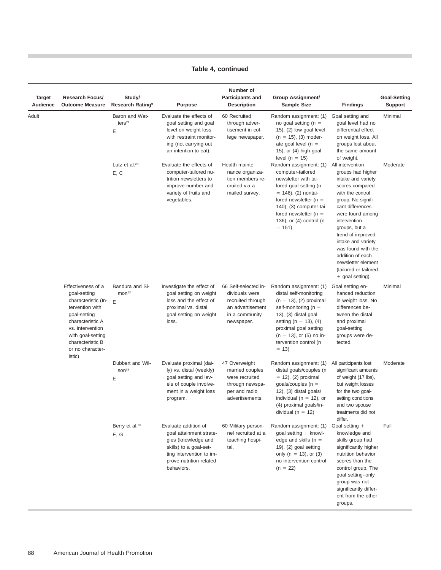| Target<br>Audience | <b>Research Focus/</b><br><b>Outcome Measure</b>                                                                                                                                                  | Study/<br>Research Rating*                 | <b>Purpose</b>                                                                                                                                                        | Number of<br><b>Participants and</b><br><b>Description</b>                                                      | <b>Group Assignment/</b><br><b>Sample Size</b>                                                                                                                                                                                                             | <b>Findings</b>                                                                                                                                                                                                                                                                                                                                             | <b>Goal-Setting</b><br><b>Support</b> |
|--------------------|---------------------------------------------------------------------------------------------------------------------------------------------------------------------------------------------------|--------------------------------------------|-----------------------------------------------------------------------------------------------------------------------------------------------------------------------|-----------------------------------------------------------------------------------------------------------------|------------------------------------------------------------------------------------------------------------------------------------------------------------------------------------------------------------------------------------------------------------|-------------------------------------------------------------------------------------------------------------------------------------------------------------------------------------------------------------------------------------------------------------------------------------------------------------------------------------------------------------|---------------------------------------|
| Adult              |                                                                                                                                                                                                   | Baron and Wat-<br>ters <sup>21</sup><br>Ε  | Evaluate the effects of<br>goal setting and goal<br>level on weight loss<br>with restraint monitor-<br>ing (not carrying out<br>an intention to eat).                 | 60 Recruited<br>through adver-<br>tisement in col-<br>lege newspaper.                                           | Random assignment: (1)<br>no goal setting ( $n =$<br>15), (2) low goal level<br>$(n = 15)$ , (3) moder-<br>ate goal level ( $n =$<br>15), or (4) high goal<br>level ( $n = 15$ )                                                                           | Goal setting and<br>goal level had no<br>differential effect<br>on weight loss. All<br>groups lost about<br>the same amount<br>of weight.                                                                                                                                                                                                                   | Minimal                               |
|                    |                                                                                                                                                                                                   | Lutz et al. <sup>20</sup><br>E, C          | Evaluate the effects of<br>computer-tailored nu-<br>trition newsletters to<br>improve number and<br>variety of fruits and<br>vegetables.                              | Health mainte-<br>nance organiza-<br>tion members re-<br>cruited via a<br>mailed survey.                        | Random assignment: (1)<br>computer-tailored<br>newsletter with tai-<br>lored goal setting (n<br>$= 146$ , $(2)$ nontai-<br>lored newsletter ( $n =$<br>140), (3) computer-tai-<br>lored newsletter ( $n =$<br>136), or (4) control (n<br>$= 151$           | All intervention<br>groups had higher<br>intake and variety<br>scores compared<br>with the control<br>group. No signifi-<br>cant differences<br>were found among<br>intervention<br>groups, but a<br>trend of improved<br>intake and variety<br>was found with the<br>addition of each<br>newsletter element<br>(tailored or tailored<br>$+$ goal setting). | Moderate                              |
|                    | Effectiveness of a<br>goal-setting<br>characteristic (In-<br>tervention with<br>goal-setting<br>characteristic A<br>vs. intervention<br>with goal-setting<br>characteristic B<br>or no character- | Bandura and Si-<br>mon <sup>12</sup><br>E  | Investigate the effect of<br>goal setting on weight<br>loss and the effect of<br>proximal vs. distal<br>goal setting on weight<br>loss.                               | 66 Self-selected in-<br>dividuals were<br>recruited through<br>an advertisement<br>in a community<br>newspaper. | Random assignment: (1)<br>distal self-monitoring<br>$(n = 13)$ , (2) proximal<br>self-monitoring ( $n =$<br>$(3)$ , $(3)$ distal goal<br>setting (n = 13), (4)<br>proximal goal setting<br>$(n = 13)$ , or $(5)$ no in-<br>tervention control (n<br>$= 13$ | Goal setting en-<br>hanced reduction<br>in weight loss. No<br>differences be-<br>tween the distal<br>and proximal<br>goal-setting<br>groups were de-<br>tected.                                                                                                                                                                                             | Minimal                               |
|                    | istic)                                                                                                                                                                                            | Dubbert and Wil-<br>SON <sup>38</sup><br>Ε | Evaluate proximal (dai-<br>ly) vs. distal (weekly)<br>goal setting and lev-<br>els of couple involve-<br>ment in a weight loss<br>program.                            | 47 Overweight<br>married couples<br>were recruited<br>through newspa-<br>per and radio<br>advertisements.       | Random assignment: (1)<br>distal goals/couples (n<br>$= 12$ ), (2) proximal<br>goals/couples ( $n =$<br>$(12)$ , $(3)$ distal goals/<br>individual ( $n = 12$ ), or<br>(4) proximal goals/in-<br>dividual ( $n = 12$ )                                     | All participants lost<br>significant amounts<br>of weight (17 lbs),<br>but weight losses<br>for the two goal-<br>setting conditions<br>and two spouse<br>treatments did not<br>differ.                                                                                                                                                                      | Moderate                              |
|                    |                                                                                                                                                                                                   | Berry et al. <sup>36</sup><br>E, G         | Evaluate addition of<br>goal attainment strate-<br>gies (knowledge and<br>skills) to a goal-set-<br>ting intervention to im-<br>prove nutrition-related<br>behaviors. | 60 Military person-<br>nel recruited at a<br>teaching hospi-<br>tal.                                            | Random assignment: (1)<br>goal setting $+$ knowl-<br>edge and skills ( $n =$<br>19), (2) goal setting<br>only ( $n = 13$ ), or (3)<br>no intervention control<br>$(n = 22)$                                                                                | Goal setting $+$<br>knowledge and<br>skills group had<br>significantly higher<br>nutrition behavior<br>scores than the<br>control group. The<br>goal setting-only<br>group was not<br>significantly differ-<br>ent from the other<br>groups.                                                                                                                | Full                                  |

п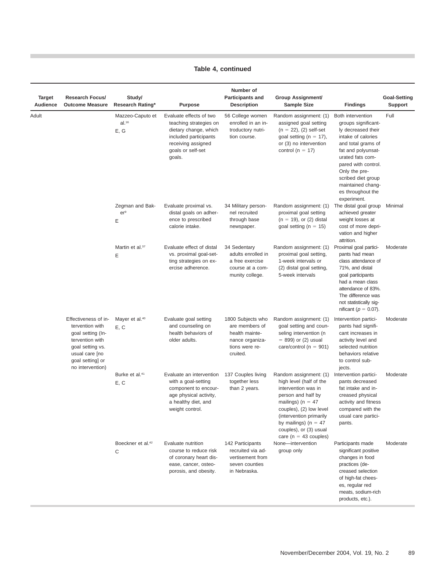п

| Target<br>Audience | <b>Research Focus/</b><br><b>Outcome Measure</b>                                                                                                              | Study/<br>Research Rating*              | Purpose                                                                                                                                                  | Number of<br><b>Participants and</b><br><b>Description</b>                                             | <b>Group Assignment/</b><br><b>Sample Size</b>                                                                                                                                                                                                                | <b>Findings</b>                                                                                                                                                                                                                                                             | <b>Goal-Setting</b><br><b>Support</b> |
|--------------------|---------------------------------------------------------------------------------------------------------------------------------------------------------------|-----------------------------------------|----------------------------------------------------------------------------------------------------------------------------------------------------------|--------------------------------------------------------------------------------------------------------|---------------------------------------------------------------------------------------------------------------------------------------------------------------------------------------------------------------------------------------------------------------|-----------------------------------------------------------------------------------------------------------------------------------------------------------------------------------------------------------------------------------------------------------------------------|---------------------------------------|
| Adult              |                                                                                                                                                               | Mazzeo-Caputo et<br>$al.^{16}$<br>E, G  | Evaluate effects of two<br>teaching strategies on<br>dietary change, which<br>included participants<br>receiving assigned<br>goals or self-set<br>goals. | 56 College women<br>enrolled in an in-<br>troductory nutri-<br>tion course.                            | Random assignment: (1)<br>assigned goal setting<br>$(n = 22)$ , $(2)$ self-set<br>goal setting ( $n = 17$ ),<br>or (3) no intervention<br>control (n = 17)                                                                                                    | Both intervention<br>groups significant-<br>ly decreased their<br>intake of calories<br>and total grams of<br>fat and polyunsat-<br>urated fats com-<br>pared with control.<br>Only the pre-<br>scribed diet group<br>maintained chang-<br>es throughout the<br>experiment. | Full                                  |
|                    |                                                                                                                                                               | Zegman and Bak-<br>er <sup>9</sup><br>Ε | Evaluate proximal vs.<br>distal goals on adher-<br>ence to prescribed<br>calorie intake.                                                                 | 34 Military person-<br>nel recruited<br>through base<br>newspaper.                                     | Random assignment: (1)<br>proximal goal setting<br>$(n = 19)$ , or $(2)$ distal<br>goal setting ( $n = 15$ )                                                                                                                                                  | The distal goal group<br>achieved greater<br>weight losses at<br>cost of more depri-<br>vation and higher<br>attrition.                                                                                                                                                     | Minimal                               |
|                    |                                                                                                                                                               | Martin et al. <sup>37</sup><br>Ε        | Evaluate effect of distal<br>vs. proximal goal-set-<br>ting strategies on ex-<br>ercise adherence.                                                       | 34 Sedentary<br>adults enrolled in<br>a free exercise<br>course at a com-<br>munity college.           | Random assignment: (1)<br>proximal goal setting,<br>1-week intervals or<br>(2) distal goal setting,<br>5-week intervals                                                                                                                                       | Proximal goal partici-<br>pants had mean<br>class attendance of<br>71%, and distal<br>goal participants<br>had a mean class<br>attendance of 83%.<br>The difference was<br>not statistically sig-<br>nificant ( $p = 0.07$ ).                                               | Moderate                              |
|                    | Effectiveness of in-<br>tervention with<br>goal setting (In-<br>tervention with<br>goal setting vs.<br>usual care [no<br>goal setting] or<br>no intervention) | Mayer et al. <sup>40</sup><br>E, C      | Evaluate goal setting<br>and counseling on<br>health behaviors of<br>older adults.                                                                       | 1800 Subjects who<br>are members of<br>health mainte-<br>nance organiza-<br>tions were re-<br>cruited. | Random assignment: (1)<br>goal setting and coun-<br>seling intervention (n<br>$= 899$ ) or (2) usual<br>care/control ( $n = 901$ )                                                                                                                            | Intervention partici-<br>pants had signifi-<br>cant increases in<br>activity level and<br>selected nutrition<br>behaviors relative<br>to control sub-<br>jects.                                                                                                             | Moderate                              |
|                    |                                                                                                                                                               | Burke et al. <sup>41</sup><br>E, C      | Evaluate an intervention<br>with a goal-setting<br>component to encour-<br>age physical activity,<br>a healthy diet, and<br>weight control.              | 137 Couples living<br>together less<br>than 2 years.                                                   | Random assignment: (1)<br>high level (half of the<br>intervention was in<br>person and half by<br>mailings) ( $n = 47$<br>couples), (2) low level<br>(intervention primarily<br>by mailings) ( $n = 47$<br>couples), or (3) usual<br>care ( $n = 43$ couples) | Intervention partici-<br>pants decreased<br>fat intake and in-<br>creased physical<br>activity and fitness<br>compared with the<br>usual care partici-<br>pants.                                                                                                            | Moderate                              |
|                    |                                                                                                                                                               | Boeckner et al. <sup>42</sup><br>C      | Evaluate nutrition<br>course to reduce risk<br>of coronary heart dis-<br>ease, cancer, osteo-<br>porosis, and obesity.                                   | 142 Participants<br>recruited via ad-<br>vertisement from<br>seven counties<br>in Nebraska.            | None-intervention<br>group only                                                                                                                                                                                                                               | Participants made<br>significant positive<br>changes in food<br>practices (de-<br>creased selection<br>of high-fat chees-<br>es, regular red<br>meats, sodium-rich<br>products, etc.).                                                                                      | Moderate                              |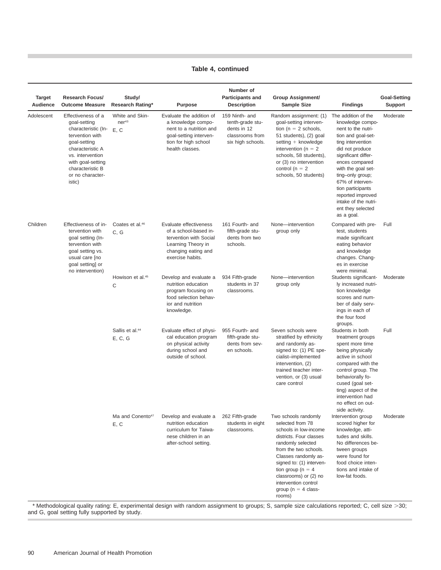| <b>Target</b><br>Audience | <b>Research Focus/</b><br><b>Outcome Measure</b>                                                                                                                                                            | Study/<br><b>Research Rating*</b>            | <b>Purpose</b>                                                                                                                                 | Number of<br><b>Participants and</b><br><b>Description</b>                                | <b>Group Assignment/</b><br><b>Sample Size</b>                                                                                                                                                                                                                                                              | <b>Findings</b>                                                                                                                                                                                                                                                                                                                         | <b>Goal-Setting</b><br><b>Support</b> |
|---------------------------|-------------------------------------------------------------------------------------------------------------------------------------------------------------------------------------------------------------|----------------------------------------------|------------------------------------------------------------------------------------------------------------------------------------------------|-------------------------------------------------------------------------------------------|-------------------------------------------------------------------------------------------------------------------------------------------------------------------------------------------------------------------------------------------------------------------------------------------------------------|-----------------------------------------------------------------------------------------------------------------------------------------------------------------------------------------------------------------------------------------------------------------------------------------------------------------------------------------|---------------------------------------|
| Adolescent                | Effectiveness of a<br>goal-setting<br>characteristic (In-<br>tervention with<br>goal-setting<br>characteristic A<br>vs. intervention<br>with goal-setting<br>characteristic B<br>or no character-<br>istic) | White and Skin-<br>ner <sup>43</sup><br>E, C | Evaluate the addition of<br>a knowledge compo-<br>nent to a nutrition and<br>goal-setting interven-<br>tion for high school<br>health classes. | 159 Ninth- and<br>tenth-grade stu-<br>dents in 12<br>classrooms from<br>six high schools. | Random assignment: (1)<br>goal-setting interven-<br>tion ( $n = 2$ schools,<br>51 students), (2) goal<br>setting + knowledge<br>intervention ( $n = 2$<br>schools, 58 students),<br>or (3) no intervention<br>control ( $n = 2$<br>schools, 50 students)                                                    | The addition of the<br>knowledge compo-<br>nent to the nutri-<br>tion and goal-set-<br>ting intervention<br>did not produce<br>significant differ-<br>ences compared<br>with the goal set-<br>ting-only group;<br>67% of interven-<br>tion participants<br>reported improved<br>intake of the nutri-<br>ent they selected<br>as a goal. | Moderate                              |
| Children                  | Effectiveness of in-<br>tervention with<br>goal setting (In-<br>tervention with<br>goal setting vs.<br>usual care [no<br>goal setting] or<br>no intervention)                                               | Coates et al. <sup>46</sup><br>C, G          | Evaluate effectiveness<br>of a school-based in-<br>tervention with Social<br>Learning Theory in<br>changing eating and<br>exercise habits.     | 161 Fourth- and<br>fifth-grade stu-<br>dents from two<br>schools.                         | None-intervention<br>group only                                                                                                                                                                                                                                                                             | Compared with pre-<br>test, students<br>made significant<br>eating behavior<br>and knowledge<br>changes. Chang-<br>es in exercise<br>were minimal.                                                                                                                                                                                      | Full                                  |
|                           |                                                                                                                                                                                                             | Howison et al. <sup>45</sup><br>С            | Develop and evaluate a<br>nutrition education<br>program focusing on<br>food selection behav-<br>ior and nutrition<br>knowledge.               | 934 Fifth-grade<br>students in 37<br>classrooms.                                          | None-intervention<br>group only                                                                                                                                                                                                                                                                             | Students significant-<br>ly increased nutri-<br>tion knowledge<br>scores and num-<br>ber of daily serv-<br>ings in each of<br>the four food<br>groups.                                                                                                                                                                                  | Moderate                              |
|                           |                                                                                                                                                                                                             | Sallis et al. <sup>44</sup><br>E, C, G       | Evaluate effect of physi-<br>cal education program<br>on physical activity<br>during school and<br>outside of school.                          | 955 Fourth- and<br>fifth-grade stu-<br>dents from sev-<br>en schools.                     | Seven schools were<br>stratified by ethnicity<br>and randomly as-<br>signed to: (1) PE spe-<br>cialist-implemented<br>intervention, (2)<br>trained teacher inter-<br>vention, or (3) usual<br>care control                                                                                                  | Students in both<br>treatment groups<br>spent more time<br>being physically<br>active in school<br>compared with the<br>control group. The<br>behaviorally fo-<br>cused (goal set-<br>ting) aspect of the<br>intervention had<br>no effect on out-<br>side activity.                                                                    | Full                                  |
|                           |                                                                                                                                                                                                             | Ma and Conento <sup>47</sup><br>E, C         | Develop and evaluate a<br>nutrition education<br>curriculum for Taiwa-<br>nese children in an<br>after-school setting.                         | 262 Fifth-grade<br>students in eight<br>classrooms.                                       | Two schools randomly<br>selected from 78<br>schools in low-income<br>districts. Four classes<br>randomly selected<br>from the two schools.<br>Classes randomly as-<br>signed to: (1) interven-<br>tion group ( $n = 4$<br>classrooms) or (2) no<br>intervention control<br>group ( $n = 4$ class-<br>rooms) | Intervention group<br>scored higher for<br>knowledge, atti-<br>tudes and skills.<br>No differences be-<br>tween groups<br>were found for<br>food choice inten-<br>tions and intake of<br>low-fat foods.                                                                                                                                 | Moderate                              |

\* Methodological quality rating: E, experimental design with random assignment to groups; S, sample size calculations reported; C, cell size >30; and G, goal setting fully supported by study.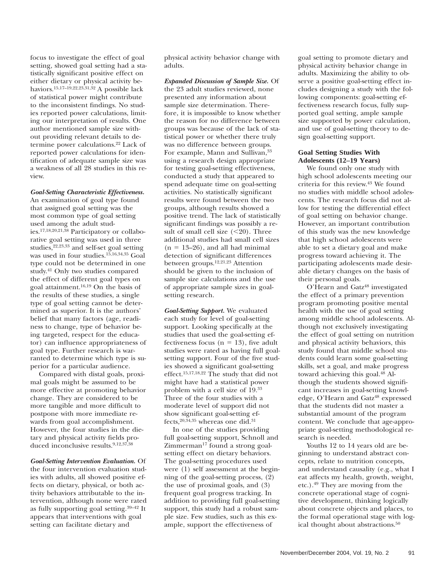focus to investigate the effect of goal setting, showed goal setting had a statistically significant positive effect on either dietary or physical activity behaviors.15,17–19,22,23,31,32 A possible lack of statistical power might contribute to the inconsistent findings. No studies reported power calculations, limiting our interpretation of results. One author mentioned sample size without providing relevant details to determine power calculations.22 Lack of reported power calculations for identification of adequate sample size was a weakness of all 28 studies in this review.

#### *Goal-Setting Characteristic Effectiveness.*

An examination of goal type found that assigned goal setting was the most common type of goal setting used among the adult studies.17,18,20,21,38 Participatory or collaborative goal setting was used in three studies,22,23,33 and self-set goal setting was used in four studies.<sup>15,16,34,35</sup> Goal type could not be determined in one study.41 Only two studies compared the effect of different goal types on goal attainment.16,19 On the basis of the results of these studies, a single type of goal setting cannot be determined as superior. It is the authors' belief that many factors (age, readiness to change, type of behavior being targeted, respect for the educator) can influence appropriateness of goal type. Further research is warranted to determine which type is superior for a particular audience.

Compared with distal goals, proximal goals might be assumed to be more effective at promoting behavior change. They are considered to be more tangible and more difficult to postpone with more immediate rewards from goal accomplishment. However, the four studies in the dietary and physical activity fields produced inconclusive results.<sup>9,12,37,38</sup>

#### *Goal-Setting Intervention Evaluation.* Of

the four intervention evaluation studies with adults, all showed positive effects on dietary, physical, or both activity behaviors attributable to the intervention, although none were rated as fully supporting goal setting.39–42 It appears that interventions with goal setting can facilitate dietary and

physical activity behavior change with adults.

*Expanded Discussion of Sample Size.* Of the 23 adult studies reviewed, none presented any information about sample size determination. Therefore, it is impossible to know whether the reason for no difference between groups was because of the lack of statistical power or whether there truly was no difference between groups. For example, Mann and Sullivan, 33 using a research design appropriate for testing goal-setting effectiveness, conducted a study that appeared to spend adequate time on goal-setting activities. No statistically significant results were found between the two groups, although results showed a positive trend. The lack of statistically significant findings was possibly a result of small cell size  $(<20)$ . Three additional studies had small cell sizes  $(n = 13-26)$ , and all had minimal detection of significant differences between groups.12,21,23 Attention should be given to the inclusion of sample size calculations and the use of appropriate sample sizes in goalsetting research.

*Goal-Setting Support.* We evaluated each study for level of goal-setting support. Looking specifically at the studies that used the goal-setting effectiveness focus ( $n = 13$ ), five adult studies were rated as having full goalsetting support. Four of the five studies showed a significant goal-setting effect.15,17,18,22 The study that did not might have had a statistical power problem with a cell size of 19.33 Three of the four studies with a moderate level of support did not show significant goal-setting effects,  $20,34,35$  whereas one did.<sup>31</sup>

In one of the studies providing full goal-setting support, Schnoll and  $Zimmerman<sup>17</sup>$  found a strong goalsetting effect on dietary behaviors. The goal-setting procedures used were (1) self assessment at the beginning of the goal-setting process, (2) the use of proximal goals, and (3) frequent goal progress tracking. In addition to providing full goal-setting support, this study had a robust sample size. Few studies, such as this example, support the effectiveness of

goal setting to promote dietary and physical activity behavior change in adults. Maximizing the ability to observe a positive goal-setting effect includes designing a study with the following components: goal-setting effectiveness research focus, fully supported goal setting, ample sample size supported by power calculation, and use of goal-setting theory to design goal-setting support.

#### **Goal Setting Studies With Adolescents (12–19 Years)**

We found only one study with high school adolescents meeting our criteria for this review.43 We found no studies with middle school adolescents. The research focus did not allow for testing the differential effect of goal setting on behavior change. However, an important contribution of this study was the new knowledge that high school adolescents were able to set a dietary goal and make progress toward achieving it. The participating adolescents made desirable dietary changes on the basis of their personal goals.

O'Hearn and Gatz<sup>48</sup> investigated the effect of a primary prevention program promoting positive mental health with the use of goal setting among middle school adolescents. Although not exclusively investigating the effect of goal setting on nutrition and physical activity behaviors, this study found that middle school students could learn some goal-setting skills, set a goal, and make progress toward achieving this goal.<sup>48</sup> Although the students showed significant increases in goal-setting knowledge, O'Hearn and Gatz<sup>48</sup> expressed that the students did not master a substantial amount of the program content. We conclude that age-appropriate goal-setting methodological research is needed.

Youths 12 to 14 years old are beginning to understand abstract concepts, relate to nutrition concepts, and understand causality (e.g., what I eat affects my health, growth, weight, etc.).49 They are moving from the concrete operational stage of cognitive development, thinking logically about concrete objects and places, to the formal operational stage with logical thought about abstractions.<sup>50</sup>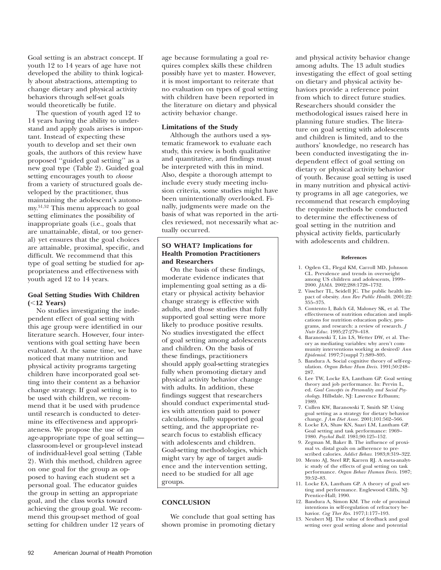Goal setting is an abstract concept. If youth 12 to 14 years of age have not developed the ability to think logically about abstractions, attempting to change dietary and physical activity behaviors through self-set goals would theoretically be futile.

The question of youth aged 12 to 14 years having the ability to understand and apply goals arises is important. Instead of expecting these youth to develop and set their own goals, the authors of this review have proposed ''guided goal setting'' as a new goal type (Table 2). Guided goal setting encourages youth to *choose* from a variety of structured goals developed by the practitioner, thus maintaining the adolescent's autonomy.51,52 This menu approach to goal setting eliminates the possibility of inappropriate goals (i.e., goals that are unattainable, distal, or too general) yet ensures that the goal choices are attainable, proximal, specific, and difficult. We recommend that this type of goal setting be studied for appropriateness and effectiveness with youth aged 12 to 14 years.

### **Goal Setting Studies With Children (**,**12 Years)**

No studies investigating the independent effect of goal setting with this age group were identified in our literature search. However, four interventions with goal setting have been evaluated. At the same time, we have noticed that many nutrition and physical activity programs targeting children have incorporated goal setting into their content as a behavior change strategy. If goal setting is to be used with children, we recommend that it be used with prudence until research is conducted to determine its effectiveness and appropriateness. We propose the use of an age-appropriate type of goal setting classroom-level or group-level instead of individual-level goal setting (Table 2). With this method, children agree on one goal for the group as opposed to having each student set a personal goal. The educator guides the group in setting an appropriate goal, and the class works toward achieving the group goal. We recommend this group-set method of goal setting for children under 12 years of age because formulating a goal requires complex skills these children possibly have yet to master. However, it is most important to reiterate that no evaluation on types of goal setting with children have been reported in the literature on dietary and physical activity behavior change.

#### **Limitations of the Study**

Although the authors used a systematic framework to evaluate each study, this review is both qualitative and quantitative, and findings must be interpreted with this in mind. Also, despite a thorough attempt to include every study meeting inclusion criteria, some studies might have been unintentionally overlooked. Finally, judgments were made on the basis of what was reported in the articles reviewed, not necessarily what actually occurred.

## **SO WHAT? Implications for Health Promotion Practitioners and Researchers**

On the basis of these findings, moderate evidence indicates that implementing goal setting as a dietary or physical activity behavior change strategy is effective with adults, and those studies that fully supported goal setting were more likely to produce positive results. No studies investigated the effect of goal setting among adolescents and children. On the basis of these findings, practitioners should apply goal-setting strategies fully when promoting dietary and physical activity behavior change with adults. In addition, these findings suggest that researchers should conduct experimental studies with attention paid to power calculations, fully supported goal setting, and the appropriate research focus to establish efficacy with adolescents and children. Goal-setting methodologies, which might vary by age of target audience and the intervention setting, need to be studied for all age groups.

## **CONCLUSION**

We conclude that goal setting has shown promise in promoting dietary and physical activity behavior change among adults. The 13 adult studies investigating the effect of goal setting on dietary and physical activity behaviors provide a reference point from which to direct future studies. Researchers should consider the methodological issues raised here in planning future studies. The literature on goal setting with adolescents and children is limited, and to the authors' knowledge, no research has been conducted investigating the independent effect of goal setting on dietary or physical activity behavior of youth. Because goal setting is used in many nutrition and physical activity programs in all age categories, we recommend that research employing the requisite methods be conducted to determine the effectiveness of goal setting in the nutrition and physical activity fields, particularly with adolescents and children.

#### **References**

- 1. Ogden CL, Flegal KM, Carroll MD, Johnson CL. Prevalence and trends in overweight among US children and adolescents, 1999– 2000. *JAMA.* 2002;288:1728–1732.
- 2. Visscher TL, Seidell JC. The public health impact of obesity. *Ann Rev Public Health.* 2001;22: 355–375.
- 3. Contento I, Balch GI, Maloney SK, et al. The effectiveness of nutrition education and implications for nutrition education policy, programs, and research: a review of research. *J Nutr Educ.* 1995;27:279–418.
- 4. Baranowski T, Lin LS, Wetter DW, et al. Theory as mediating variables: why aren't community interventions working as desired? *Ann Epidemiol.* 1997;7(suppl 7):S89–S95.
- 5. Bandura A. Social cognitive theory of self-regulation. *Organ Behav Hum Decis.* 1991;50:248– 287.
- 6. Lee TW, Locke EA, Lantham GP. Goal setting theory and job performance. In: Pervin L, ed. *Goal Concepts in Personality and Social Psychology.* Hillsdale, NJ: Lawrence Erlbaum; 1989.
- 7. Cullen KW, Baranowski T, Smith SP. Using goal setting as a strategy for dietary behavior change. *J Am Diet Assoc.* 2001;101:562–566.
- 8. Locke EA, Shaw KN, Saari LM, Lantham GP. Goal setting and task performance: 1969– 1980. *Psychol Bull.* 1981;90:125–152.
- 9. Zegman M, Baker B. The influence of proximal vs. distal goals on adherence to prescribed calories. *Addict Behav.* 1983;8:319–322.
- 10. Mento AJ, Steel RP, Karren RJ. A meta-analytic study of the effects of goal setting on task performance. *Organ Behav Human Decis.* 1987; 39:52–83.
- 11. Locke EA, Lantham GP. A theory of goal setting and performance. Englewood Cliffs, NJ: Prentice-Hall; 1990.
- 12. Bandura A, Simon KM. The role of proximal intentions in self-regulation of refractory behavior. *Cog Ther Res.* 1977;1:177–193.
- 13. Neubert MJ. The value of feedback and goal setting over goal setting alone and potential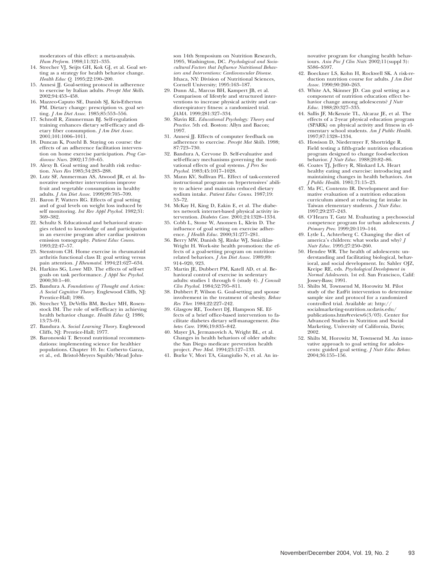moderators of this effect: a meta-analysis. *Hum Perform.* 1998;11:321–335.

- 14. Strecher VJ, Seijts GH, Kok GJ, et al. Goal setting as a strategy for health behavior change. *Health Educ Q.* 1995;22:190–200.
- 15. Annesi JJ. Goal-setting protocol in adherence to exercise by Italian adults. *Percept Mot Skills.* 2002;94:453–458.
- 16. Mazzeo-Caputo SE, Danish SJ, Kris-Etherton PM. Dietary change: prescription vs. goal setting. *J Am Diet Assoc.* 1985;85:553–556.
- 17. Schnoll R, Zimmerman BJ. Self-regulation training enhances dietary self-efficacy and dietary fiber consumption. *J Am Diet Assoc.* 2001;101:1006–1011.
- 18. Duncan K, Pozehl B. Staying on course: the effects of an adherence facilitation intervention on home exercise participation. *Prog Cardiovasc Nurs.* 2002;17:59–65.
- 19. Alexy B. Goal setting and health risk reduction. *Nurs Res* 1985;34:283–288.
- 20. Lutz SF, Ammerman AS, Atwood JR, et al. Innovative newsletter interventions improve fruit and vegetable consumption in healthy adults. *J Am Diet Assoc.* 1999;99:705–709.
- 21. Baron P, Watters RG. Effects of goal setting and of goal levels on weight loss induced by self monitoring. *Int Rev Appl Psychol.* 1982;31: 369–382.
- 22. Schultz S. Educational and behavioral strategies related to knowledge of and participation in an exercise program after cardiac positron emission tomography. *Patient Educ Couns.* 1993;22:47–57.
- 23. Stenstrom CH. Home exercise in rheumatoid arthritis functional class II: goal setting versus pain attention. *J Rheumatol.* 1994;21:627–634.
- 24. Harkins SG, Lowe MD. The effects of self-set goals on task performance. *J Appl Soc Psychol.*  $2000;30:1-40.$
- 25. Bandura A. *Foundations of Thought and Action: A Social Cognitive Theory*. Englewood Cliffs, NJ: Prentice-Hall; 1986.
- 26. Strecher VJ, DeVellis BM, Becker MH, Rosenstock IM. The role of self-efficacy in achieving health behavior change. *Health Educ Q.* 1986; 13:73–91.
- 27. Bandura A. *Social Learning Theory.* Englewood Cliffs, NJ: Prentice-Hall; 1977.
- 28. Baronowski T. Beyond nutritional recommendations: implementing science for healthier populations. Chapter 10. In: Cutberto Garza, et al., ed. Bristol-Meyers Squibb/Mead John-

son 14th Symposium on Nutrition Research, 1995, Washington, DC. *Psychological and Sociocultural Factors that Influence Nutritional Behaviors and Interventions: Cardiovascular Disease.* Ithaca, NY: Division of Nutritional Sciences, Cornell University; 1995:163–187.

- 29. Dunn AL, Marcus BH, Kampert JB, et al. Comparison of lifestyle and structured interventions to increase physical activity and cardiorespiratory fitness: a randomized trial. *JAMA.* 1999;281:327–334.
- 30. Slavin RE. *Educational Psychology: Theory and Practice.* 5th ed. Boston: Allyn and Bacon; 1997.
- 31. Annesi JJ. Effects of computer feedback on adherence to exercise. *Percept Mot Skills.* 1998; 87:723–730.
- 32. Bandura A, Cervone D. Self-evaluative and self-efficacy mechanisms governing the motivational effects of goal systems. *J Pers Soc Psychol.* 1983;45:1017–1028.
- 33. Mann KV, Sullivan PL. Effect of task-centered instructional programs on hypertensives' ability to achieve and maintain reduced dietary sodium intake. *Patient Educ Couns.* 1987;19: 53–72.
- 34. McKay H, King D, Eakin E, et al. The diabetes network internet-based physical activity intervention. *Diabetes Care.* 2001;24:1328–1334.
- 35. Cobb L, Stone W, Anonsen L, Klein D. The influence of goal setting on exercise adherence. *J Health Educ.* 2000;31:277–281.
- 36. Berry MW, Danish SJ, Rinke WJ, Smiciklas-Wright H. Work-site health promotion: the effects of a goal-setting program on nutritionrelated behaviors. *J Am Diet Assoc.* 1989;89: 914–920, 923.
- 37. Martin JE, Dubbert PM, Katell AD, et al. Behavioral control of exercise in sedentary adults: studies 1 through 6 (study 4). *J Consult Clin Psychol.* 1984;52:795–811.
- 38. Dubbert P, Wilson G. Goal-setting and spouse involvement in the treatment of obesity. *Behav Res Ther.* 1984;22:227–242.
- 39. Glasgow RE, Toobert DJ, Hampson SE. Effects of a brief office-based intervention to facilitate diabetes dietary self-management. *Diabetes Care.* 1996;19:835–842.
- 40. Mayer JA, Jermanovich A, Wright BL, et al. Changes in health behaviors of older adults: the San Diego medicare prevention health project. *Prev Med.* 1994;23:127–133.
- 41. Burke V, Mori TA, Giangiulio N, et al. An in-

novative program for changing health behaviours. *Asia Pac J Clin Nutr.* 2002;11(suppl 3): S586–S597.

- 42. Boeckner LS, Kohn H, Rockwell SK. A risk-reduction nutrition course for adults. *J Am Diet Assoc.* 1990;90:260–263.
- 43. White AA, Skinner JD. Can goal setting as a component of nutrition education effect behavior change among adolescents? *J Nutr Educ.* 1988;20:327–335.
- 44. Sallis JF, McKenzie TL, Alcaraz JE, et al. The effects of a 2-year physical education program (SPARK) on physical activity and fitness in elementary school students. *Am J Public Health.* 1997;87:1328–1334.
- 45. Howison D, Niedermyer F, Shortridge R. Field testing a fifth-grade nutrition education program designed to change food-selection behavior. *J Nutr Educ.* 1988;20:82–86.
- 46. Coates TJ, Jeffery R, Slinkard LA. Heart healthy eating and exercise: introducing and maintaining changes in health behaviors. *Am J Public Health.* 1981;71:15–23.
- 47. Ma FC, Contento IR. Development and formative evaluation of a nutrition education curriculum aimed at reducing fat intake in Taiwan elementary students. *J Nutr Educ.* 1997;29:237–243.
- 48. O'Hearn T, Gatz M. Evaluating a psychosocial competence program for urban adolescents. *J Primary Prev.* 1999;20:119–144.
- 49. Lytle L, Achterberg C. Changing the diet of america's children: what works and why? *J Nutr Educ.* 1995;27:250–260.
- 50. Hendee WR. The health of adolescents: understanding and facilitating biological, behavioral, and social development. In: Sahler OJZ, Kreipe RE, eds. *Psychological Development in Normal Adolescents.* 1st ed. San Francisco, Calif: Jossey-Bass; 1991.
- 51. Shilts M, Townsend M, Horowitz M. Pilot study of the EatFit intervention to determine sample size and protocol for a randomized controlled trial. Available at: http:// socialmarketing-nutrition.ucdavis.edu/ publications.htm#review6(3/03). Center for Advanced Studies in Nutrition and Social Marketing, University of California, Davis; 2002.
- 52. Shilts M, Horowitz M, Townsend M. An innovative approach to goal setting for adolescents: guided goal setting. *J Nutr Educ Behav.* 2004;36:155–156.